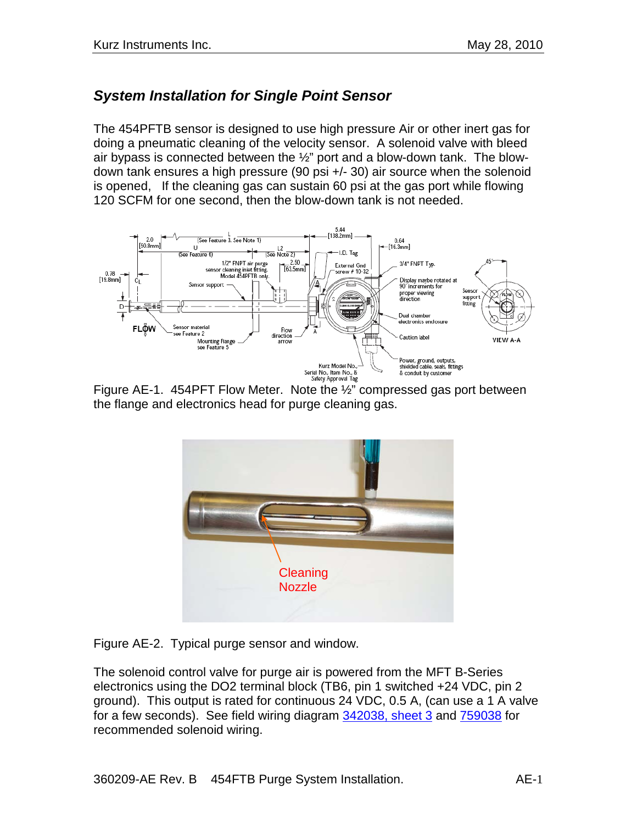# *System Installation for Single Point Sensor*

The 454PFTB sensor is designed to use high pressure Air or other inert gas for doing a pneumatic cleaning of the velocity sensor. A solenoid valve with bleed air bypass is connected between the  $\frac{1}{2}$ " port and a blow-down tank. The blowdown tank ensures a high pressure (90 psi +/- 30) air source when the solenoid is opened, If the cleaning gas can sustain 60 psi at the gas port while flowing 120 SCFM for one second, then the blow-down tank is not needed.



Figure AE-1. 454PFT Flow Meter. Note the ½" compressed gas port between the flange and electronics head for purge cleaning gas.



Figure AE-2. Typical purge sensor and window.

The solenoid control valve for purge air is powered from the MFT B-Series electronics using the DO2 terminal block (TB6, pin 1 switched +24 VDC, pin 2 ground). This output is rated for continuous 24 VDC, 0.5 A, (can use a 1 A valve for a few seconds). See field wiring diagram 342038, sheet 3 and 759038 for recommended solenoid wiring.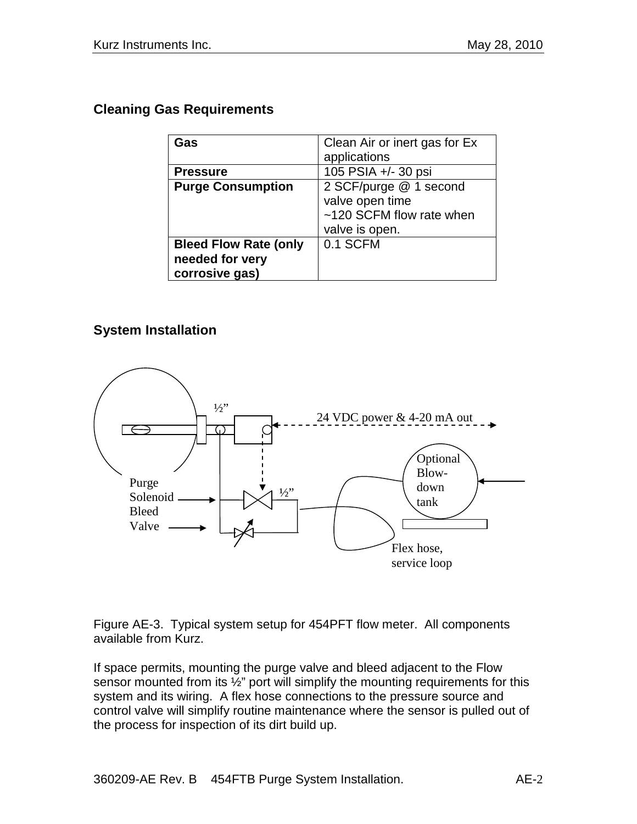#### **Cleaning Gas Requirements**

| Gas                          | Clean Air or inert gas for Ex |
|------------------------------|-------------------------------|
|                              | applications                  |
| <b>Pressure</b>              | 105 PSIA +/- 30 psi           |
| <b>Purge Consumption</b>     | 2 SCF/purge @ 1 second        |
|                              | valve open time               |
|                              | ~120 SCFM flow rate when      |
|                              | valve is open.                |
| <b>Bleed Flow Rate (only</b> | 0.1 SCFM                      |
| needed for very              |                               |
| corrosive gas)               |                               |

### **System Installation**



Figure AE-3. Typical system setup for 454PFT flow meter. All components available from Kurz.

If space permits, mounting the purge valve and bleed adjacent to the Flow sensor mounted from its  $\frac{1}{2}$ " port will simplify the mounting requirements for this system and its wiring. A flex hose connections to the pressure source and control valve will simplify routine maintenance where the sensor is pulled out of the process for inspection of its dirt build up.